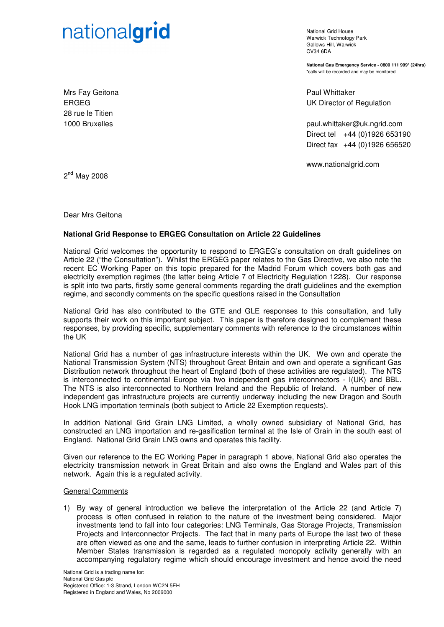# nationalgrid

National Grid House Warwick Technology Park Gallows Hill, Warwick  $C<sub>1</sub>1/34$  6DA

**National Gas Emergency Service - 0800 111 999\* (24hrs)**  \*calls will be recorded and may be monitored

Paul Whittaker UK Director of Regulation

paul.whittaker@uk.ngrid.com Direct tel +44 (0)1926 653190 Direct fax +44 (0)1926 656520

www.nationalgrid.com

2<sup>nd</sup> May 2008

Mrs Fay Geitona

28 rue le Titien 1000 Bruxelles

ERGEG

Dear Mrs Geitona

# **National Grid Response to ERGEG Consultation on Article 22 Guidelines**

National Grid welcomes the opportunity to respond to ERGEG's consultation on draft guidelines on Article 22 ("the Consultation"). Whilst the ERGEG paper relates to the Gas Directive, we also note the recent EC Working Paper on this topic prepared for the Madrid Forum which covers both gas and electricity exemption regimes (the latter being Article 7 of Electricity Regulation 1228). Our response is split into two parts, firstly some general comments regarding the draft guidelines and the exemption regime, and secondly comments on the specific questions raised in the Consultation

National Grid has also contributed to the GTE and GLE responses to this consultation, and fully supports their work on this important subject. This paper is therefore designed to complement these responses, by providing specific, supplementary comments with reference to the circumstances within the UK

National Grid has a number of gas infrastructure interests within the UK. We own and operate the National Transmission System (NTS) throughout Great Britain and own and operate a significant Gas Distribution network throughout the heart of England (both of these activities are regulated). The NTS is interconnected to continental Europe via two independent gas interconnectors - I(UK) and BBL. The NTS is also interconnected to Northern Ireland and the Republic of Ireland. A number of new independent gas infrastructure projects are currently underway including the new Dragon and South Hook LNG importation terminals (both subject to Article 22 Exemption requests).

In addition National Grid Grain LNG Limited, a wholly owned subsidiary of National Grid, has constructed an LNG importation and re-gasification terminal at the Isle of Grain in the south east of England. National Grid Grain LNG owns and operates this facility.

Given our reference to the EC Working Paper in paragraph 1 above, National Grid also operates the electricity transmission network in Great Britain and also owns the England and Wales part of this network. Again this is a regulated activity.

# General Comments

1) By way of general introduction we believe the interpretation of the Article 22 (and Article 7) process is often confused in relation to the nature of the investment being considered. Major investments tend to fall into four categories: LNG Terminals, Gas Storage Projects, Transmission Projects and Interconnector Projects. The fact that in many parts of Europe the last two of these are often viewed as one and the same, leads to further confusion in interpreting Article 22. Within Member States transmission is regarded as a regulated monopoly activity generally with an accompanying regulatory regime which should encourage investment and hence avoid the need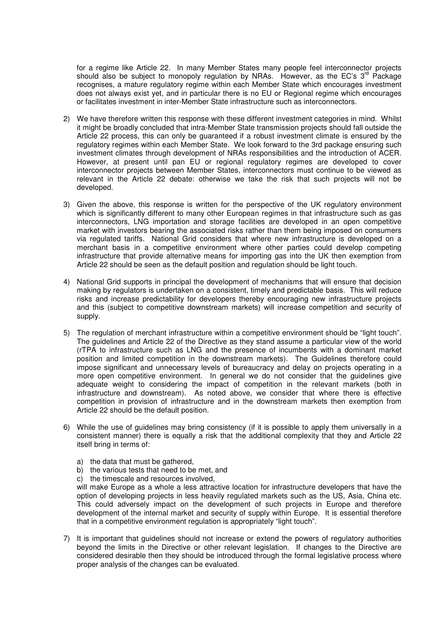for a regime like Article 22. In many Member States many people feel interconnector projects should also be subject to monopoly regulation by NRAs. However, as the EC's 3<sup>rd</sup> Package recognises, a mature regulatory regime within each Member State which encourages investment does not always exist yet, and in particular there is no EU or Regional regime which encourages or facilitates investment in inter-Member State infrastructure such as interconnectors.

- 2) We have therefore written this response with these different investment categories in mind. Whilst it might be broadly concluded that intra-Member State transmission projects should fall outside the Article 22 process, this can only be guaranteed if a robust investment climate is ensured by the regulatory regimes within each Member State. We look forward to the 3rd package ensuring such investment climates through development of NRAs responsibilities and the introduction of ACER. However, at present until pan EU or regional regulatory regimes are developed to cover interconnector projects between Member States, interconnectors must continue to be viewed as relevant in the Article 22 debate: otherwise we take the risk that such projects will not be developed.
- 3) Given the above, this response is written for the perspective of the UK regulatory environment which is significantly different to many other European regimes in that infrastructure such as gas interconnectors, LNG importation and storage facilities are developed in an open competitive market with investors bearing the associated risks rather than them being imposed on consumers via regulated tariffs. National Grid considers that where new infrastructure is developed on a merchant basis in a competitive environment where other parties could develop competing infrastructure that provide alternative means for importing gas into the UK then exemption from Article 22 should be seen as the default position and regulation should be light touch.
- 4) National Grid supports in principal the development of mechanisms that will ensure that decision making by regulators is undertaken on a consistent, timely and predictable basis. This will reduce risks and increase predictability for developers thereby encouraging new infrastructure projects and this (subject to competitive downstream markets) will increase competition and security of supply.
- 5) The regulation of merchant infrastructure within a competitive environment should be "light touch". The guidelines and Article 22 of the Directive as they stand assume a particular view of the world (rTPA to infrastructure such as LNG and the presence of incumbents with a dominant market position and limited competition in the downstream markets). The Guidelines therefore could impose significant and unnecessary levels of bureaucracy and delay on projects operating in a more open competitive environment. In general we do not consider that the guidelines give adequate weight to considering the impact of competition in the relevant markets (both in infrastructure and downstream). As noted above, we consider that where there is effective competition in provision of infrastructure and in the downstream markets then exemption from Article 22 should be the default position.
- 6) While the use of guidelines may bring consistency (if it is possible to apply them universally in a consistent manner) there is equally a risk that the additional complexity that they and Article 22 itself bring in terms of:
	- a) the data that must be gathered,
	- b) the various tests that need to be met, and
	- c) the timescale and resources involved,

will make Europe as a whole a less attractive location for infrastructure developers that have the option of developing projects in less heavily regulated markets such as the US, Asia, China etc. This could adversely impact on the development of such projects in Europe and therefore development of the internal market and security of supply within Europe. It is essential therefore that in a competitive environment regulation is appropriately "light touch".

7) It is important that guidelines should not increase or extend the powers of regulatory authorities beyond the limits in the Directive or other relevant legislation. If changes to the Directive are considered desirable then they should be introduced through the formal legislative process where proper analysis of the changes can be evaluated.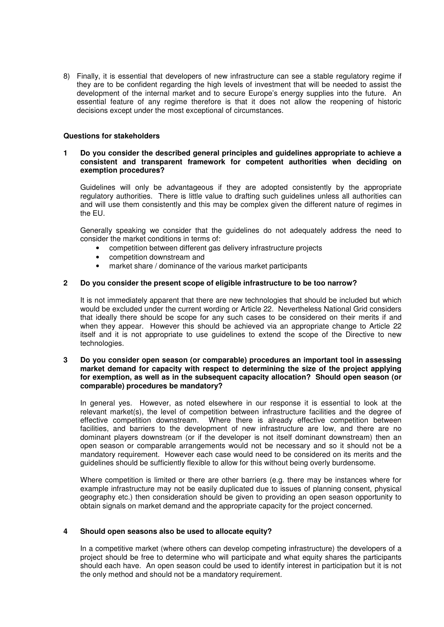8) Finally, it is essential that developers of new infrastructure can see a stable regulatory regime if they are to be confident regarding the high levels of investment that will be needed to assist the development of the internal market and to secure Europe's energy supplies into the future. An essential feature of any regime therefore is that it does not allow the reopening of historic decisions except under the most exceptional of circumstances.

## **Questions for stakeholders**

## **1 Do you consider the described general principles and guidelines appropriate to achieve a consistent and transparent framework for competent authorities when deciding on exemption procedures?**

Guidelines will only be advantageous if they are adopted consistently by the appropriate regulatory authorities. There is little value to drafting such guidelines unless all authorities can and will use them consistently and this may be complex given the different nature of regimes in the EU.

Generally speaking we consider that the guidelines do not adequately address the need to consider the market conditions in terms of:

- competition between different gas delivery infrastructure projects
- competition downstream and
- market share / dominance of the various market participants

# **2 Do you consider the present scope of eligible infrastructure to be too narrow?**

It is not immediately apparent that there are new technologies that should be included but which would be excluded under the current wording or Article 22. Nevertheless National Grid considers that ideally there should be scope for any such cases to be considered on their merits if and when they appear. However this should be achieved via an appropriate change to Article 22 itself and it is not appropriate to use guidelines to extend the scope of the Directive to new technologies.

#### **3 Do you consider open season (or comparable) procedures an important tool in assessing market demand for capacity with respect to determining the size of the project applying for exemption, as well as in the subsequent capacity allocation? Should open season (or comparable) procedures be mandatory?**

In general yes. However, as noted elsewhere in our response it is essential to look at the relevant market(s), the level of competition between infrastructure facilities and the degree of effective competition downstream. Where there is already effective competition between facilities, and barriers to the development of new infrastructure are low, and there are no dominant players downstream (or if the developer is not itself dominant downstream) then an open season or comparable arrangements would not be necessary and so it should not be a mandatory requirement. However each case would need to be considered on its merits and the guidelines should be sufficiently flexible to allow for this without being overly burdensome.

Where competition is limited or there are other barriers (e.g. there may be instances where for example infrastructure may not be easily duplicated due to issues of planning consent, physical geography etc.) then consideration should be given to providing an open season opportunity to obtain signals on market demand and the appropriate capacity for the project concerned.

#### **4 Should open seasons also be used to allocate equity?**

In a competitive market (where others can develop competing infrastructure) the developers of a project should be free to determine who will participate and what equity shares the participants should each have. An open season could be used to identify interest in participation but it is not the only method and should not be a mandatory requirement.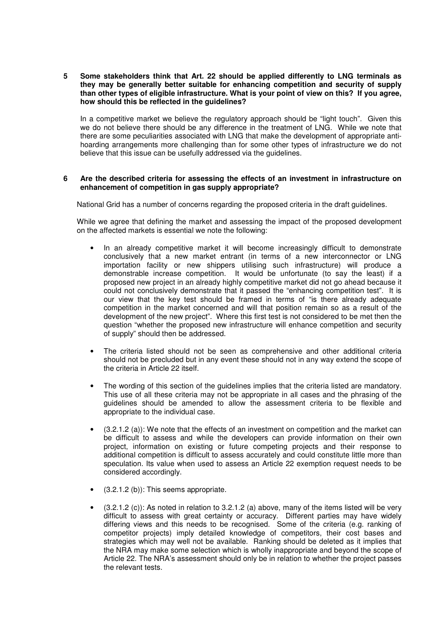**5 Some stakeholders think that Art. 22 should be applied differently to LNG terminals as they may be generally better suitable for enhancing competition and security of supply than other types of eligible infrastructure. What is your point of view on this? If you agree, how should this be reflected in the guidelines?** 

In a competitive market we believe the regulatory approach should be "light touch". Given this we do not believe there should be any difference in the treatment of LNG. While we note that there are some peculiarities associated with LNG that make the development of appropriate antihoarding arrangements more challenging than for some other types of infrastructure we do not believe that this issue can be usefully addressed via the guidelines.

## **6 Are the described criteria for assessing the effects of an investment in infrastructure on enhancement of competition in gas supply appropriate?**

National Grid has a number of concerns regarding the proposed criteria in the draft guidelines.

While we agree that defining the market and assessing the impact of the proposed development on the affected markets is essential we note the following:

- In an already competitive market it will become increasingly difficult to demonstrate conclusively that a new market entrant (in terms of a new interconnector or LNG importation facility or new shippers utilising such infrastructure) will produce a demonstrable increase competition. It would be unfortunate (to say the least) if a proposed new project in an already highly competitive market did not go ahead because it could not conclusively demonstrate that it passed the "enhancing competition test". It is our view that the key test should be framed in terms of "is there already adequate competition in the market concerned and will that position remain so as a result of the development of the new project". Where this first test is not considered to be met then the question "whether the proposed new infrastructure will enhance competition and security of supply" should then be addressed.
- The criteria listed should not be seen as comprehensive and other additional criteria should not be precluded but in any event these should not in any way extend the scope of the criteria in Article 22 itself.
- The wording of this section of the guidelines implies that the criteria listed are mandatory. This use of all these criteria may not be appropriate in all cases and the phrasing of the guidelines should be amended to allow the assessment criteria to be flexible and appropriate to the individual case.
- $(3.2.1.2 \text{ (a)})$ : We note that the effects of an investment on competition and the market can be difficult to assess and while the developers can provide information on their own project, information on existing or future competing projects and their response to additional competition is difficult to assess accurately and could constitute little more than speculation. Its value when used to assess an Article 22 exemption request needs to be considered accordingly.
- (3.2.1.2 (b)): This seems appropriate.
- $\bullet$  (3.2.1.2 (c)): As noted in relation to 3.2.1.2 (a) above, many of the items listed will be very difficult to assess with great certainty or accuracy. Different parties may have widely differing views and this needs to be recognised. Some of the criteria (e.g. ranking of competitor projects) imply detailed knowledge of competitors, their cost bases and strategies which may well not be available. Ranking should be deleted as it implies that the NRA may make some selection which is wholly inappropriate and beyond the scope of Article 22. The NRA's assessment should only be in relation to whether the project passes the relevant tests.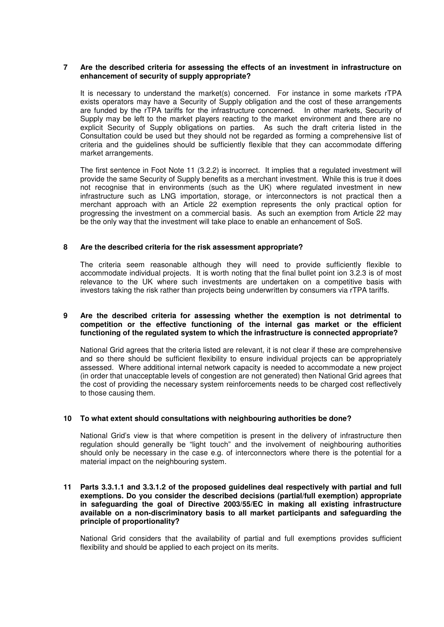#### **7 Are the described criteria for assessing the effects of an investment in infrastructure on enhancement of security of supply appropriate?**

It is necessary to understand the market(s) concerned. For instance in some markets rTPA exists operators may have a Security of Supply obligation and the cost of these arrangements are funded by the rTPA tariffs for the infrastructure concerned. In other markets, Security of Supply may be left to the market players reacting to the market environment and there are no explicit Security of Supply obligations on parties. As such the draft criteria listed in the Consultation could be used but they should not be regarded as forming a comprehensive list of criteria and the guidelines should be sufficiently flexible that they can accommodate differing market arrangements.

The first sentence in Foot Note 11 (3.2.2) is incorrect. It implies that a regulated investment will provide the same Security of Supply benefits as a merchant investment. While this is true it does not recognise that in environments (such as the UK) where regulated investment in new infrastructure such as LNG importation, storage, or interconnectors is not practical then a merchant approach with an Article 22 exemption represents the only practical option for progressing the investment on a commercial basis. As such an exemption from Article 22 may be the only way that the investment will take place to enable an enhancement of SoS.

# **8 Are the described criteria for the risk assessment appropriate?**

The criteria seem reasonable although they will need to provide sufficiently flexible to accommodate individual projects. It is worth noting that the final bullet point ion 3.2.3 is of most relevance to the UK where such investments are undertaken on a competitive basis with investors taking the risk rather than projects being underwritten by consumers via rTPA tariffs.

## **9 Are the described criteria for assessing whether the exemption is not detrimental to competition or the effective functioning of the internal gas market or the efficient functioning of the regulated system to which the infrastructure is connected appropriate?**

National Grid agrees that the criteria listed are relevant, it is not clear if these are comprehensive and so there should be sufficient flexibility to ensure individual projects can be appropriately assessed. Where additional internal network capacity is needed to accommodate a new project (in order that unacceptable levels of congestion are not generated) then National Grid agrees that the cost of providing the necessary system reinforcements needs to be charged cost reflectively to those causing them.

# **10 To what extent should consultations with neighbouring authorities be done?**

National Grid's view is that where competition is present in the delivery of infrastructure then regulation should generally be "light touch" and the involvement of neighbouring authorities should only be necessary in the case e.g. of interconnectors where there is the potential for a material impact on the neighbouring system.

#### **11 Parts 3.3.1.1 and 3.3.1.2 of the proposed guidelines deal respectively with partial and full exemptions. Do you consider the described decisions (partial/full exemption) appropriate in safeguarding the goal of Directive 2003/55/EC in making all existing infrastructure available on a non-discriminatory basis to all market participants and safeguarding the principle of proportionality?**

National Grid considers that the availability of partial and full exemptions provides sufficient flexibility and should be applied to each project on its merits.